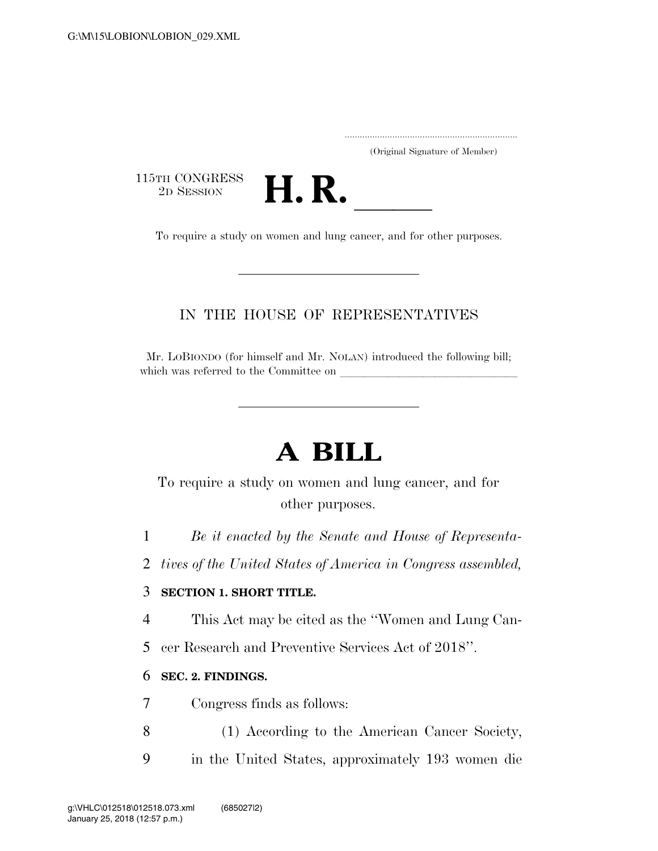|  | (Original Signature of Member) |  |
|--|--------------------------------|--|

115TH CONGRESS<br>2D SESSION



2D SESSION **H. R.** ll To require a study on women and lung cancer, and for other purposes.

## IN THE HOUSE OF REPRESENTATIVES

Mr. LOBIONDO (for himself and Mr. NOLAN) introduced the following bill; which was referred to the Committee on

## **A BILL**

To require a study on women and lung cancer, and for other purposes.

1 *Be it enacted by the Senate and House of Representa-*

2 *tives of the United States of America in Congress assembled,* 

## 3 **SECTION 1. SHORT TITLE.**

4 This Act may be cited as the ''Women and Lung Can-

5 cer Research and Preventive Services Act of 2018''.

## 6 **SEC. 2. FINDINGS.**

7 Congress finds as follows:

- 8 (1) According to the American Cancer Society,
- 9 in the United States, approximately 193 women die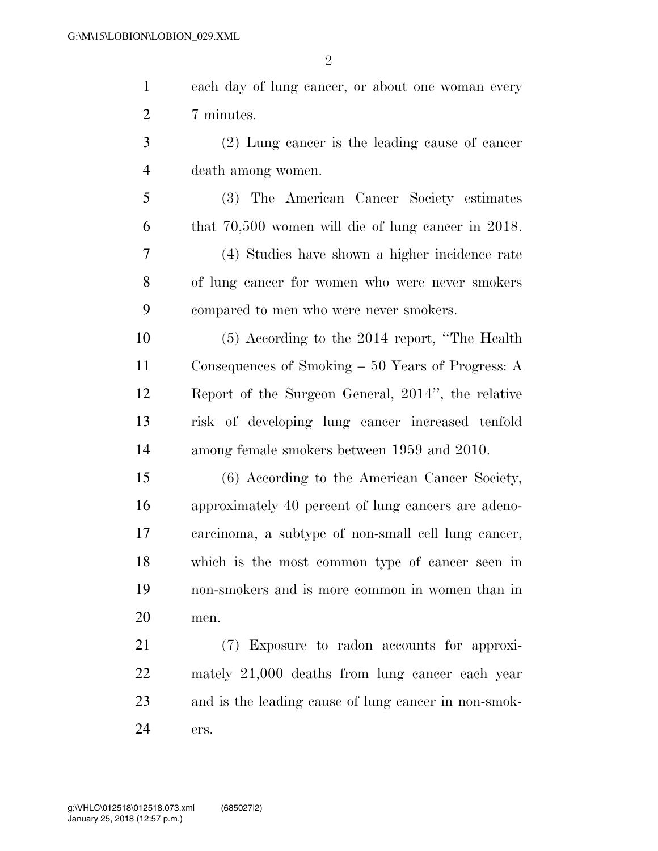| $\mathbf{1}$   | each day of lung cancer, or about one woman every       |
|----------------|---------------------------------------------------------|
| $\overline{2}$ | 7 minutes.                                              |
| 3              | (2) Lung cancer is the leading cause of cancer          |
| $\overline{4}$ | death among women.                                      |
| 5              | (3) The American Cancer Society estimates               |
| 6              | that $70,500$ women will die of lung cancer in $2018$ . |
| 7              | (4) Studies have shown a higher incidence rate          |
| 8              | of lung cancer for women who were never smokers         |
| 9              | compared to men who were never smokers.                 |
| 10             | $(5)$ According to the 2014 report, "The Health"        |
| 11             | Consequences of Smoking $-50$ Years of Progress: A      |
| 12             | Report of the Surgeon General, 2014", the relative      |
| 13             | risk of developing lung cancer increased tenfold        |
| 14             | among female smokers between 1959 and 2010.             |
| 15             | (6) According to the American Cancer Society,           |
| 16             | approximately 40 percent of lung cancers are adeno-     |
| 17             | carcinoma, a subtype of non-small cell lung cancer,     |
| 18             | which is the most common type of cancer seen in         |
| 19             | non-smokers and is more common in women than in         |
| 20             | men.                                                    |
| 21             | (7) Exposure to radon accounts for approxi-             |
| 22             | mately 21,000 deaths from lung cancer each year         |
| 23             | and is the leading cause of lung cancer in non-smok-    |

ers.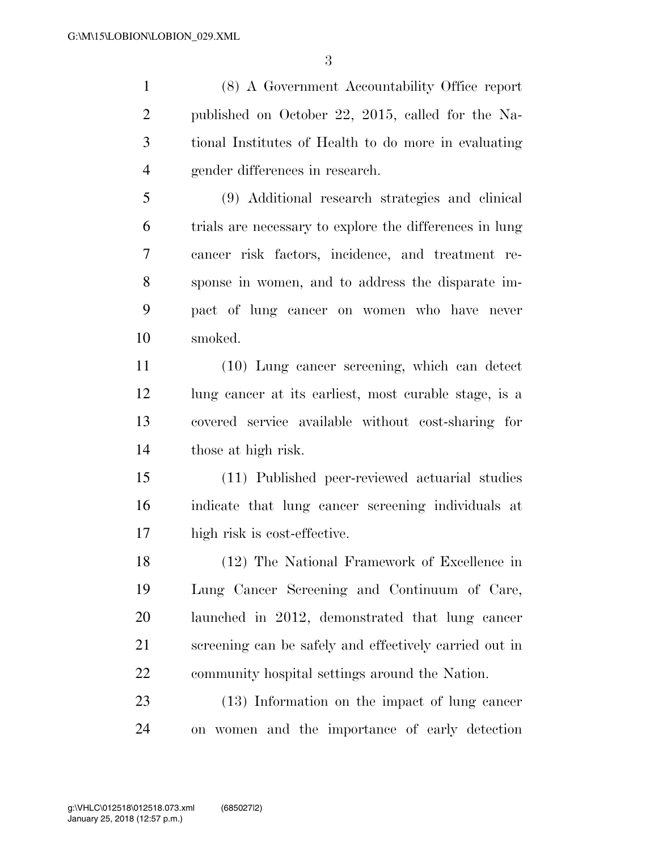(8) A Government Accountability Office report published on October 22, 2015, called for the Na- tional Institutes of Health to do more in evaluating gender differences in research.

 (9) Additional research strategies and clinical trials are necessary to explore the differences in lung cancer risk factors, incidence, and treatment re- sponse in women, and to address the disparate im- pact of lung cancer on women who have never smoked.

 (10) Lung cancer screening, which can detect 12 lung cancer at its earliest, most curable stage, is a covered service available without cost-sharing for those at high risk.

 (11) Published peer-reviewed actuarial studies indicate that lung cancer screening individuals at high risk is cost-effective.

 (12) The National Framework of Excellence in Lung Cancer Screening and Continuum of Care, launched in 2012, demonstrated that lung cancer screening can be safely and effectively carried out in community hospital settings around the Nation.

 (13) Information on the impact of lung cancer on women and the importance of early detection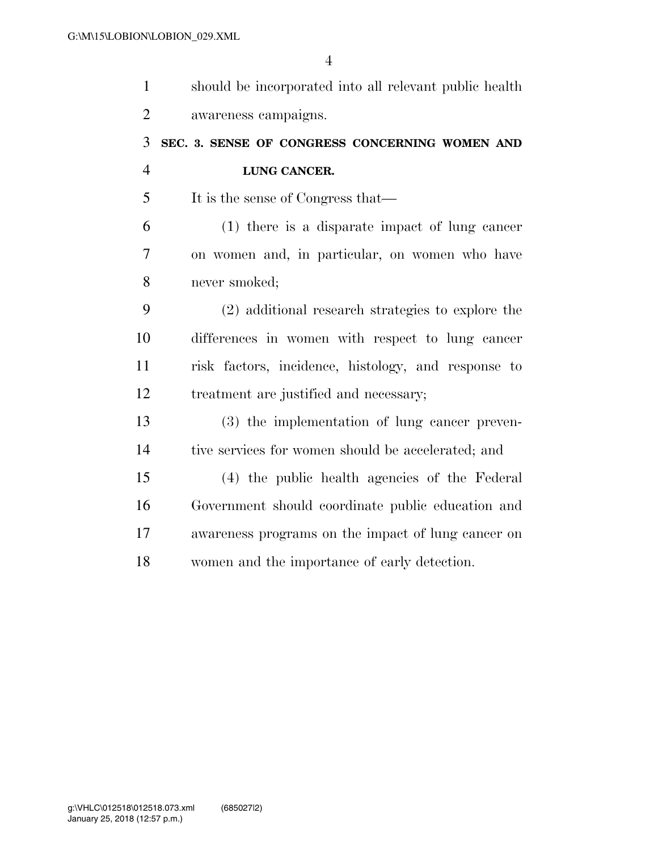| $\mathbf{1}$   | should be incorporated into all relevant public health |
|----------------|--------------------------------------------------------|
| $\overline{2}$ | awareness campaigns.                                   |
| 3              | SEC. 3. SENSE OF CONGRESS CONCERNING WOMEN AND         |
| $\overline{4}$ | LUNG CANCER.                                           |
| 5              | It is the sense of Congress that—                      |
| 6              | $(1)$ there is a disparate impact of lung cancer       |
| 7              | on women and, in particular, on women who have         |
| 8              | never smoked;                                          |
| 9              | (2) additional research strategies to explore the      |
| 10             | differences in women with respect to lung cancer       |
| 11             | risk factors, incidence, histology, and response to    |
| 12             | treatment are justified and necessary;                 |
| 13             | (3) the implementation of lung cancer preven-          |
| 14             | tive services for women should be accelerated; and     |
| 15             | (4) the public health agencies of the Federal          |
| 16             | Government should coordinate public education and      |
| 17             | awareness programs on the impact of lung cancer on     |
| 18             | women and the importance of early detection.           |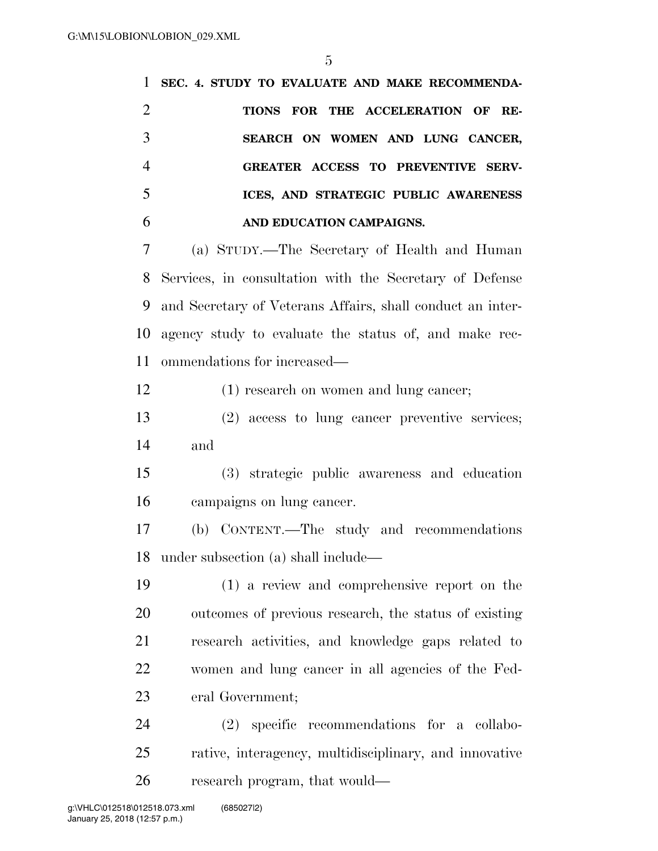**SEC. 4. STUDY TO EVALUATE AND MAKE RECOMMENDA- TIONS FOR THE ACCELERATION OF RE- SEARCH ON WOMEN AND LUNG CANCER, GREATER ACCESS TO PREVENTIVE SERV- ICES, AND STRATEGIC PUBLIC AWARENESS AND EDUCATION CAMPAIGNS.**  (a) STUDY.—The Secretary of Health and Human Services, in consultation with the Secretary of Defense and Secretary of Veterans Affairs, shall conduct an inter- agency study to evaluate the status of, and make rec- ommendations for increased— (1) research on women and lung cancer; (2) access to lung cancer preventive services; and (3) strategic public awareness and education campaigns on lung cancer. (b) CONTENT.—The study and recommendations under subsection (a) shall include— (1) a review and comprehensive report on the outcomes of previous research, the status of existing research activities, and knowledge gaps related to women and lung cancer in all agencies of the Fed- eral Government; (2) specific recommendations for a collabo-rative, interagency, multidisciplinary, and innovative

research program, that would—